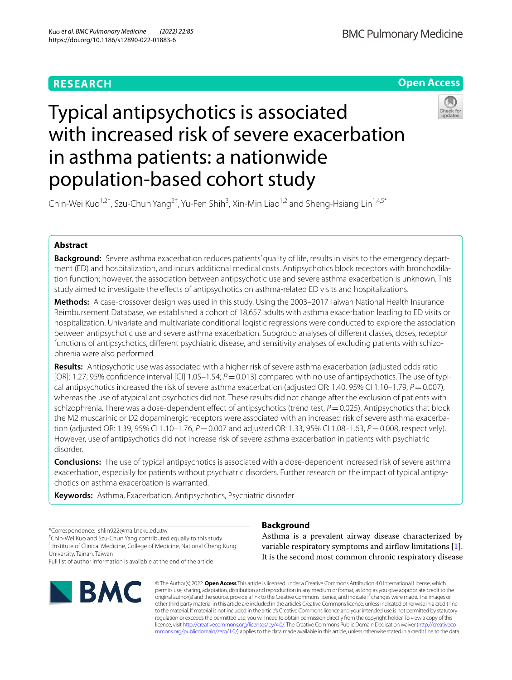## **RESEARCH**



# Typical antipsychotics is associated with increased risk of severe exacerbation in asthma patients: a nationwide population-based cohort study



Chin-Wei Kuo<sup>1,2†</sup>, Szu-Chun Yang<sup>2†</sup>, Yu-Fen Shih<sup>3</sup>, Xin-Min Liao<sup>1,2</sup> and Sheng-Hsiang Lin<sup>1,4,5\*</sup>

## **Abstract**

**Background:** Severe asthma exacerbation reduces patients' quality of life, results in visits to the emergency department (ED) and hospitalization, and incurs additional medical costs. Antipsychotics block receptors with bronchodilation function; however, the association between antipsychotic use and severe asthma exacerbation is unknown. This study aimed to investigate the efects of antipsychotics on asthma-related ED visits and hospitalizations.

**Methods:** A case-crossover design was used in this study. Using the 2003–2017 Taiwan National Health Insurance Reimbursement Database, we established a cohort of 18,657 adults with asthma exacerbation leading to ED visits or hospitalization. Univariate and multivariate conditional logistic regressions were conducted to explore the association between antipsychotic use and severe asthma exacerbation. Subgroup analyses of diferent classes, doses, receptor functions of antipsychotics, different psychiatric disease, and sensitivity analyses of excluding patients with schizophrenia were also performed.

**Results:** Antipsychotic use was associated with a higher risk of severe asthma exacerbation (adjusted odds ratio [OR]: 1.27; 95% confidence interval [CI] 1.05–1.54; *P* = 0.013) compared with no use of antipsychotics. The use of typical antipsychotics increased the risk of severe asthma exacerbation (adjusted OR: 1.40, 95% CI 1.10–1.79, *P*=0.007), whereas the use of atypical antipsychotics did not. These results did not change after the exclusion of patients with schizophrenia. There was a dose-dependent effect of antipsychotics (trend test, *P* = 0.025). Antipsychotics that block the M2 muscarinic or D2 dopaminergic receptors were associated with an increased risk of severe asthma exacerbation (adjusted OR: 1.39, 95% CI 1.10–1.76, *P*=0.007 and adjusted OR: 1.33, 95% CI 1.08–1.63, *P*=0.008, respectively). However, use of antipsychotics did not increase risk of severe asthma exacerbation in patients with psychiatric disorder.

**Conclusions:** The use of typical antipsychotics is associated with a dose-dependent increased risk of severe asthma exacerbation, especially for patients without psychiatric disorders. Further research on the impact of typical antipsychotics on asthma exacerbation is warranted.

**Keywords:** Asthma, Exacerbation, Antipsychotics, Psychiatric disorder

\*Correspondence: shlin922@mail.ncku.edu.tw

† Chin-Wei Kuo and Szu-Chun Yang contributed equally to this study <sup>1</sup> Institute of Clinical Medicine, College of Medicine, National Cheng Kung

University, Tainan, Taiwan

Full list of author information is available at the end of the article



## **Background**

Asthma is a prevalent airway disease characterized by variable respiratory symptoms and airflow limitations [\[1](#page-8-0)]. It is the second most common chronic respiratory disease

© The Author(s) 2022. **Open Access** This article is licensed under a Creative Commons Attribution 4.0 International License, which permits use, sharing, adaptation, distribution and reproduction in any medium or format, as long as you give appropriate credit to the original author(s) and the source, provide a link to the Creative Commons licence, and indicate if changes were made. The images or other third party material in this article are included in the article's Creative Commons licence, unless indicated otherwise in a credit line to the material. If material is not included in the article's Creative Commons licence and your intended use is not permitted by statutory regulation or exceeds the permitted use, you will need to obtain permission directly from the copyright holder. To view a copy of this licence, visit [http://creativecommons.org/licenses/by/4.0/.](http://creativecommons.org/licenses/by/4.0/) The Creative Commons Public Domain Dedication waiver ([http://creativeco](http://creativecommons.org/publicdomain/zero/1.0/) [mmons.org/publicdomain/zero/1.0/](http://creativecommons.org/publicdomain/zero/1.0/)) applies to the data made available in this article, unless otherwise stated in a credit line to the data.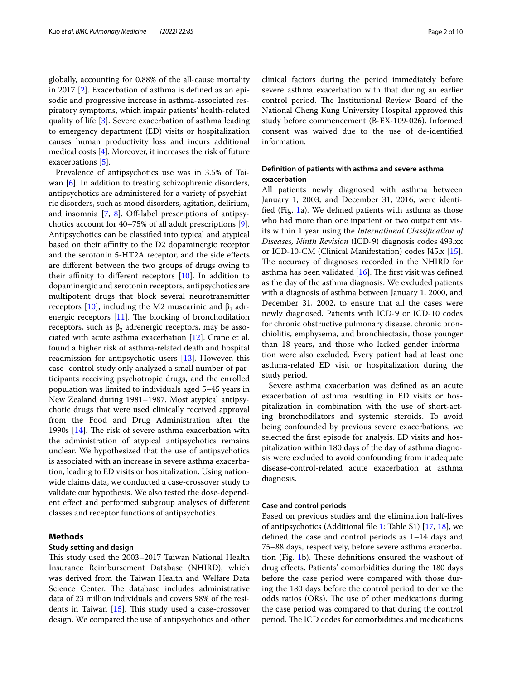globally, accounting for 0.88% of the all-cause mortality in 2017 [[2\]](#page-8-1). Exacerbation of asthma is defned as an episodic and progressive increase in asthma-associated respiratory symptoms, which impair patients' health-related quality of life [[3\]](#page-8-2). Severe exacerbation of asthma leading to emergency department (ED) visits or hospitalization causes human productivity loss and incurs additional medical costs [\[4](#page-8-3)]. Moreover, it increases the risk of future exacerbations [\[5](#page-8-4)].

Prevalence of antipsychotics use was in 3.5% of Tai-wan [\[6\]](#page-8-5). In addition to treating schizophrenic disorders, antipsychotics are administered for a variety of psychiatric disorders, such as mood disorders, agitation, delirium, and insomnia  $[7, 8]$  $[7, 8]$  $[7, 8]$  $[7, 8]$ . Off-label prescriptions of antipsychotics account for 40–75% of all adult prescriptions [\[9](#page-8-8)]. Antipsychotics can be classifed into typical and atypical based on their affinity to the D2 dopaminergic receptor and the serotonin 5-HT2A receptor, and the side efects are diferent between the two groups of drugs owing to their affinity to different receptors  $[10]$  $[10]$ . In addition to dopaminergic and serotonin receptors, antipsychotics are multipotent drugs that block several neurotransmitter receptors [\[10](#page-8-9)], including the M2 muscarinic and  $β_2$  adrenergic receptors  $[11]$  $[11]$ . The blocking of bronchodilation receptors, such as  $β_2$  adrenergic receptors, may be associated with acute asthma exacerbation [\[12](#page-8-11)]. Crane et al. found a higher risk of asthma-related death and hospital readmission for antipsychotic users [[13](#page-8-12)]. However, this case–control study only analyzed a small number of participants receiving psychotropic drugs, and the enrolled population was limited to individuals aged 5–45 years in New Zealand during 1981–1987. Most atypical antipsychotic drugs that were used clinically received approval from the Food and Drug Administration after the 1990s  $[14]$  $[14]$ . The risk of severe asthma exacerbation with the administration of atypical antipsychotics remains unclear. We hypothesized that the use of antipsychotics is associated with an increase in severe asthma exacerbation, leading to ED visits or hospitalization. Using nationwide claims data, we conducted a case-crossover study to validate our hypothesis. We also tested the dose-dependent efect and performed subgroup analyses of diferent classes and receptor functions of antipsychotics.

#### **Methods**

#### **Study setting and design**

This study used the 2003–2017 Taiwan National Health Insurance Reimbursement Database (NHIRD), which was derived from the Taiwan Health and Welfare Data Science Center. The database includes administrative data of 23 million individuals and covers 98% of the residents in Taiwan  $[15]$ . This study used a case-crossover design. We compared the use of antipsychotics and other clinical factors during the period immediately before severe asthma exacerbation with that during an earlier control period. The Institutional Review Board of the National Cheng Kung University Hospital approved this study before commencement (B-EX-109-026). Informed consent was waived due to the use of de-identifed information.

## **Defnition of patients with asthma and severe asthma exacerbation**

All patients newly diagnosed with asthma between January 1, 2003, and December 31, 2016, were identifed (Fig. [1a](#page-2-0)). We defned patients with asthma as those who had more than one inpatient or two outpatient visits within 1 year using the *International Classifcation of Diseases, Ninth Revision* (ICD-9) diagnosis codes 493.xx or ICD-10-CM (Clinical Manifestation) codes J45.x [\[15](#page-8-14)]. The accuracy of diagnoses recorded in the NHIRD for asthma has been validated  $[16]$  $[16]$ . The first visit was defined as the day of the asthma diagnosis. We excluded patients with a diagnosis of asthma between January 1, 2000, and December 31, 2002, to ensure that all the cases were newly diagnosed. Patients with ICD-9 or ICD-10 codes for chronic obstructive pulmonary disease, chronic bronchiolitis, emphysema, and bronchiectasis, those younger than 18 years, and those who lacked gender information were also excluded. Every patient had at least one asthma-related ED visit or hospitalization during the study period.

Severe asthma exacerbation was defned as an acute exacerbation of asthma resulting in ED visits or hospitalization in combination with the use of short-acting bronchodilators and systemic steroids. To avoid being confounded by previous severe exacerbations, we selected the frst episode for analysis. ED visits and hospitalization within 180 days of the day of asthma diagnosis were excluded to avoid confounding from inadequate disease-control-related acute exacerbation at asthma diagnosis.

#### **Case and control periods**

Based on previous studies and the elimination half-lives of antipsychotics (Additional fle [1:](#page-8-16) Table S1) [[17](#page-8-17), [18](#page-9-0)], we defned the case and control periods as 1–14 days and 75–88 days, respectively, before severe asthma exacerba-tion (Fig. [1](#page-2-0)b). These definitions ensured the washout of drug efects. Patients' comorbidities during the 180 days before the case period were compared with those during the 180 days before the control period to derive the odds ratios (ORs). The use of other medications during the case period was compared to that during the control period. The ICD codes for comorbidities and medications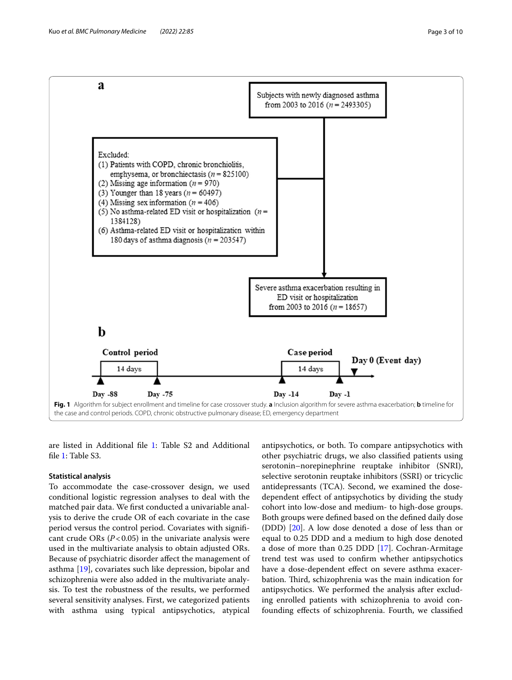

<span id="page-2-0"></span>are listed in Additional fle [1:](#page-8-16) Table S2 and Additional file [1](#page-8-16): Table S3.

#### **Statistical analysis**

To accommodate the case-crossover design, we used conditional logistic regression analyses to deal with the matched pair data. We frst conducted a univariable analysis to derive the crude OR of each covariate in the case period versus the control period. Covariates with signifcant crude ORs  $(P<0.05)$  in the univariate analysis were used in the multivariate analysis to obtain adjusted ORs. Because of psychiatric disorder afect the management of asthma [\[19](#page-9-1)], covariates such like depression, bipolar and schizophrenia were also added in the multivariate analysis. To test the robustness of the results, we performed several sensitivity analyses. First, we categorized patients with asthma using typical antipsychotics, atypical antipsychotics, or both. To compare antipsychotics with other psychiatric drugs, we also classifed patients using serotonin–norepinephrine reuptake inhibitor (SNRI), selective serotonin reuptake inhibitors (SSRI) or tricyclic antidepressants (TCA). Second, we examined the dosedependent efect of antipsychotics by dividing the study cohort into low-dose and medium- to high-dose groups. Both groups were defned based on the defned daily dose (DDD) [[20](#page-9-2)]. A low dose denoted a dose of less than or equal to 0.25 DDD and a medium to high dose denoted a dose of more than 0.25 DDD [\[17](#page-8-17)]. Cochran-Armitage trend test was used to confrm whether antipsychotics have a dose-dependent effect on severe asthma exacerbation. Third, schizophrenia was the main indication for antipsychotics. We performed the analysis after excluding enrolled patients with schizophrenia to avoid confounding efects of schizophrenia. Fourth, we classifed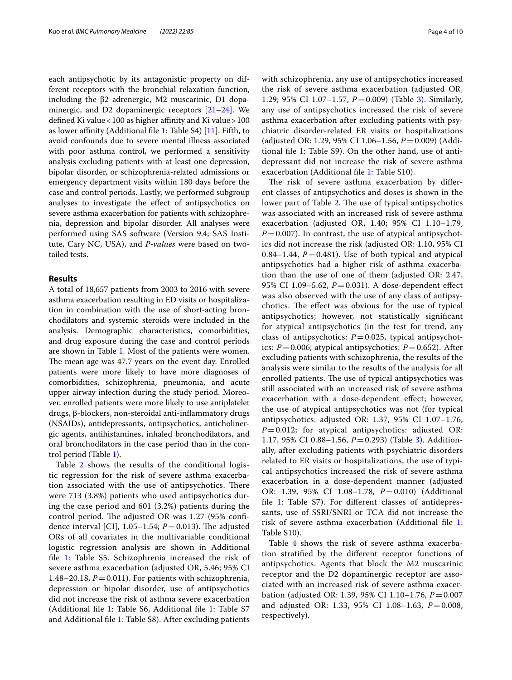each antipsychotic by its antagonistic property on different receptors with the bronchial relaxation function, including the β2 adrenergic, M2 muscarinic, D1 dopaminergic, and D2 dopaminergic receptors  $[21-24]$  $[21-24]$  $[21-24]$ . We defined Ki value < 100 as higher affinity and Ki value > 100 as lower affinity (Additional file [1:](#page-8-16) Table S4)  $[11]$  $[11]$  $[11]$ . Fifth, to avoid confounds due to severe mental illness associated with poor asthma control, we performed a sensitivity analysis excluding patients with at least one depression, bipolar disorder, or schizophrenia-related admissions or emergency department visits within 180 days before the case and control periods. Lastly, we performed subgroup analyses to investigate the efect of antipsychotics on severe asthma exacerbation for patients with schizophrenia, depression and bipolar disorder. All analyses were performed using SAS software (Version 9.4; SAS Institute, Cary NC, USA), and *P-values* were based on twotailed tests.

#### **Results**

A total of 18,657 patients from 2003 to 2016 with severe asthma exacerbation resulting in ED visits or hospitalization in combination with the use of short-acting bronchodilators and systemic steroids were included in the analysis. Demographic characteristics, comorbidities, and drug exposure during the case and control periods are shown in Table [1](#page-4-0). Most of the patients were women. The mean age was 47.7 years on the event day. Enrolled patients were more likely to have more diagnoses of comorbidities, schizophrenia, pneumonia, and acute upper airway infection during the study period. Moreover, enrolled patients were more likely to use antiplatelet drugs, β-blockers, non-steroidal anti-infammatory drugs (NSAIDs), antidepressants, antipsychotics, anticholinergic agents, antihistamines, inhaled bronchodilators, and oral bronchodilators in the case period than in the control period (Table [1\)](#page-4-0).

Table [2](#page-5-0) shows the results of the conditional logistic regression for the risk of severe asthma exacerbation associated with the use of antipsychotics. There were 713 (3.8%) patients who used antipsychotics during the case period and 601 (3.2%) patients during the control period. The adjusted OR was  $1.27$  (95% confidence interval [CI],  $1.05-1.54$ ;  $P=0.013$ ). The adjusted ORs of all covariates in the multivariable conditional logistic regression analysis are shown in Additional fle [1:](#page-8-16) Table S5. Schizophrenia increased the risk of severe asthma exacerbation (adjusted OR, 5.46; 95% CI 1.48–20.18,  $P = 0.011$ ). For patients with schizophrenia, depression or bipolar disorder, use of antipsychotics did not increase the risk of asthma severe exacerbation (Additional file [1:](#page-8-16) Table S6, Additional file [1](#page-8-16): Table S7 and Additional fle [1:](#page-8-16) Table S8). After excluding patients with schizophrenia, any use of antipsychotics increased the risk of severe asthma exacerbation (adjusted OR, 1.29; 95% CI 1.07–1.57, *P*=0.009) (Table [3](#page-6-0)). Similarly, any use of antipsychotics increased the risk of severe asthma exacerbation after excluding patients with psychiatric disorder-related ER visits or hospitalizations (adjusted OR: 1.29, 95% CI 1.06–1.56, *P*=0.009) (Additional fle [1](#page-8-16): Table S9). On the other hand, use of antidepressant did not increase the risk of severe asthma exacerbation (Additional fle [1](#page-8-16): Table S10).

The risk of severe asthma exacerbation by different classes of antipsychotics and doses is shown in the lower part of Table [2](#page-5-0). The use of typical antipsychotics was associated with an increased risk of severe asthma exacerbation (adjusted OR, 1.40; 95% CI 1.10–1.79,  $P=0.007$ ). In contrast, the use of atypical antipsychotics did not increase the risk (adjusted OR: 1.10, 95% CI 0.84–1.44,  $P = 0.481$ ). Use of both typical and atypical antipsychotics had a higher risk of asthma exacerbation than the use of one of them (adjusted OR: 2.47, 95% CI 1.09–5.62, *P*=0.031). A dose-dependent efect was also observed with the use of any class of antipsychotics. The effect was obvious for the use of typical antipsychotics; however, not statistically signifcant for atypical antipsychotics (in the test for trend, any class of antipsychotics:  $P=0.025$ , typical antipsychotics:  $P = 0.006$ ; atypical antipsychotics:  $P = 0.652$ ). After excluding patients with schizophrenia, the results of the analysis were similar to the results of the analysis for all enrolled patients. The use of typical antipsychotics was still associated with an increased risk of severe asthma exacerbation with a dose-dependent efect; however, the use of atypical antipsychotics was not (for typical antipsychotics: adjusted OR: 1.37, 95% CI 1.07–1.76, *P*=0.012; for atypical antipsychotics: adjusted OR: 1.17, 95% CI 0.88–1.56, *P*=0.293) (Table [3](#page-6-0)). Additionally, after excluding patients with psychiatric disorders related to ER visits or hospitalizations, the use of typical antipsychotics increased the risk of severe asthma exacerbation in a dose-dependent manner (adjusted OR: 1.39, 95% CI 1.08–1.78, *P*=0.010) (Additional file [1:](#page-8-16) Table S7). For different classes of antidepressants, use of SSRI/SNRI or TCA did not increase the risk of severe asthma exacerbation (Additional fle [1](#page-8-16): Table S10).

Table [4](#page-6-1) shows the risk of severe asthma exacerbation stratifed by the diferent receptor functions of antipsychotics. Agents that block the M2 muscarinic receptor and the D2 dopaminergic receptor are associated with an increased risk of severe asthma exacerbation (adjusted OR: 1.39, 95% CI 1.10–1.76, *P*=0.007 and adjusted OR: 1.33, 95% CI 1.08–1.63, *P*=0.008, respectively).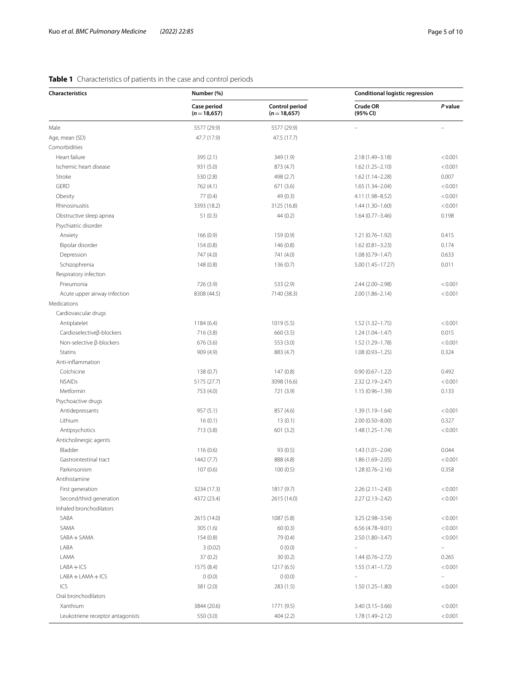## <span id="page-4-0"></span>**Table 1** Characteristics of patients in the case and control periods

| Case period<br>Control period<br>Crude OR<br>P value<br>$(n=18,657)$<br>$(n=18,657)$<br>(95% CI)<br>5577 (29.9)<br>5577 (29.9)<br>Age, mean (SD)<br>47.7 (17.9)<br>47.5 (17.7)<br>Heart failure<br>395(2.1)<br>349 (1.9)<br>2.18 (1.49-3.18)<br>< 0.001<br>Ischemic heart disease<br>931 (5.0)<br>< 0.001<br>873 (4.7)<br>$1.62(1.25 - 2.10)$<br>Stroke<br>530 (2.8)<br>498 (2.7)<br>0.007<br>$1.62(1.14 - 2.28)$<br><b>GERD</b><br>671(3.6)<br>< 0.001<br>762 (4.1)<br>$1.65(1.34 - 2.04)$<br>Obesity<br>77(0.4)<br>49 (0.3)<br>< 0.001<br>4.11 (1.98-8.52)<br>Rhinosinusitis<br>3393 (18.2)<br>3125 (16.8)<br>< 0.001<br>$1.44(1.30 - 1.60)$<br>0.198<br>Obstructive sleep apnea<br>51(0.3)<br>44(0.2)<br>$1.64(0.77 - 3.46)$<br>Psychiatric disorder<br>166 (0.9)<br>0.415<br>Anxiety<br>159 (0.9)<br>$1.21(0.76 - 1.92)$<br>Bipolar disorder<br>154(0.8)<br>146 (0.8)<br>0.174<br>$1.62(0.81 - 3.23)$<br>Depression<br>747 (4.0)<br>741 (4.0)<br>$1.08(0.79 - 1.47)$<br>0.633<br>Schizophrenia<br>148 (0.8)<br>0.011<br>136(0.7)<br>5.00 (1.45-17.27)<br>Respiratory infection<br>Pneumonia<br>726 (3.9)<br>533 (2.9)<br>2.44 (2.00-2.98)<br>< 0.001<br>Acute upper airway infection<br>8308 (44.5)<br>< 0.001<br>7140 (38.3)<br>$2.00(1.86 - 2.14)$<br>Cardiovascular drugs<br>Antiplatelet<br>< 0.001<br>1184(6.4)<br>1019(5.5)<br>$1.52(1.32 - 1.75)$<br>Cardioselective <sub>ß</sub> -blockers<br>0.015<br>716(3.8)<br>660 (3.5)<br>$1.24(1.04 - 1.47)$<br>Non-selective β-blockers<br>676 (3.6)<br>553 (3.0)<br>1.52 (1.29-1.78)<br>< 0.001<br><b>Statins</b><br>909 (4.9)<br>883 (4.7)<br>$1.08(0.93 - 1.25)$<br>0.324<br>Anti-inflammation<br>Colchicine<br>138(0.7)<br>147(0.8)<br>0.492<br>$0.90(0.67 - 1.22)$<br><b>NSAIDs</b><br>5175 (27.7)<br>3098 (16.6)<br>< 0.001<br>$2.32(2.19 - 2.47)$<br>Metformin<br>0.133<br>753 (4.0)<br>721 (3.9)<br>$1.15(0.96 - 1.39)$<br>Psychoactive drugs<br>Antidepressants<br>957(5.1)<br>< 0.001<br>857 (4.6)<br>$1.39(1.19 - 1.64)$<br>Lithium<br>16(0.1)<br>13(0.1)<br>0.327<br>$2.00(0.50 - 8.00)$<br>Antipsychotics<br>713(3.8)<br>601(3.2)<br>$1.48(1.25 - 1.74)$<br>< 0.001<br>Anticholinergic agents<br>Bladder<br>116(0.6)<br>93 (0.5)<br>0.044<br>1.43 (1.01-2.04)<br>Gastrointestinal tract<br>< 0.001<br>1442 (7.7)<br>888 (4.8)<br>$1.86(1.69 - 2.05)$<br>Parkinsonism<br>107(0.6)<br>100(0.5)<br>0.358<br>$1.28(0.76 - 2.16)$<br>Antihistamine<br>3234 (17.3)<br>1817 (9.7)<br>< 0.001<br>First generation<br>$2.26(2.11 - 2.43)$<br>Second/third generation<br>< 0.001<br>4372 (23.4)<br>2615 (14.0)<br>$2.27(2.13 - 2.42)$<br>Inhaled bronchodilators<br>SABA<br>< 0.001<br>2615 (14.0)<br>1087 (5.8)<br>3.25 (2.98-3.54)<br>SAMA<br>305(1.6)<br>60(0.3)<br>6.56 (4.78-9.01)<br>< 0.001<br>SABA + SAMA<br>79 (0.4)<br>2.50 (1.80-3.47)<br>154(0.8)<br>< 0.001<br>LABA<br>3(0.02)<br>0(0.0)<br>$\overline{a}$<br>LAMA<br>37(0.2)<br>30(0.2)<br>$1.44(0.76 - 2.72)$<br>0.265<br>$LABA + ICS$<br>1575 (8.4)<br>$1.55(1.41 - 1.72)$<br>< 0.001<br>1217 (6.5)<br>$LABA + LAMA + ICS$<br>0(0.0)<br>0(0.0)<br>ICS<br>< 0.001<br>381 (2.0)<br>283(1.5)<br>$1.50(1.25 - 1.80)$<br>Oral bronchodilators<br>Xanthium<br>3844 (20.6)<br>1771 (9.5)<br>$3.40(3.15 - 3.66)$<br>< 0.001<br>550 (3.0)<br>404(2.2)<br>1.78 (1.49-2.12)<br>< 0.001<br>Leukotriene receptor antagonists | <b>Characteristics</b> | Number (%) | <b>Conditional logistic regression</b> |  |  |
|----------------------------------------------------------------------------------------------------------------------------------------------------------------------------------------------------------------------------------------------------------------------------------------------------------------------------------------------------------------------------------------------------------------------------------------------------------------------------------------------------------------------------------------------------------------------------------------------------------------------------------------------------------------------------------------------------------------------------------------------------------------------------------------------------------------------------------------------------------------------------------------------------------------------------------------------------------------------------------------------------------------------------------------------------------------------------------------------------------------------------------------------------------------------------------------------------------------------------------------------------------------------------------------------------------------------------------------------------------------------------------------------------------------------------------------------------------------------------------------------------------------------------------------------------------------------------------------------------------------------------------------------------------------------------------------------------------------------------------------------------------------------------------------------------------------------------------------------------------------------------------------------------------------------------------------------------------------------------------------------------------------------------------------------------------------------------------------------------------------------------------------------------------------------------------------------------------------------------------------------------------------------------------------------------------------------------------------------------------------------------------------------------------------------------------------------------------------------------------------------------------------------------------------------------------------------------------------------------------------------------------------------------------------------------------------------------------------------------------------------------------------------------------------------------------------------------------------------------------------------------------------------------------------------------------------------------------------------------------------------------------------------------------------------------------------------------------------------------------------------------------------------------------------------------------------------------------------------------------------------------------------------------------------------------------------------------------------|------------------------|------------|----------------------------------------|--|--|
|                                                                                                                                                                                                                                                                                                                                                                                                                                                                                                                                                                                                                                                                                                                                                                                                                                                                                                                                                                                                                                                                                                                                                                                                                                                                                                                                                                                                                                                                                                                                                                                                                                                                                                                                                                                                                                                                                                                                                                                                                                                                                                                                                                                                                                                                                                                                                                                                                                                                                                                                                                                                                                                                                                                                                                                                                                                                                                                                                                                                                                                                                                                                                                                                                                                                                                                                        |                        |            |                                        |  |  |
|                                                                                                                                                                                                                                                                                                                                                                                                                                                                                                                                                                                                                                                                                                                                                                                                                                                                                                                                                                                                                                                                                                                                                                                                                                                                                                                                                                                                                                                                                                                                                                                                                                                                                                                                                                                                                                                                                                                                                                                                                                                                                                                                                                                                                                                                                                                                                                                                                                                                                                                                                                                                                                                                                                                                                                                                                                                                                                                                                                                                                                                                                                                                                                                                                                                                                                                                        | Male                   |            |                                        |  |  |
|                                                                                                                                                                                                                                                                                                                                                                                                                                                                                                                                                                                                                                                                                                                                                                                                                                                                                                                                                                                                                                                                                                                                                                                                                                                                                                                                                                                                                                                                                                                                                                                                                                                                                                                                                                                                                                                                                                                                                                                                                                                                                                                                                                                                                                                                                                                                                                                                                                                                                                                                                                                                                                                                                                                                                                                                                                                                                                                                                                                                                                                                                                                                                                                                                                                                                                                                        |                        |            |                                        |  |  |
|                                                                                                                                                                                                                                                                                                                                                                                                                                                                                                                                                                                                                                                                                                                                                                                                                                                                                                                                                                                                                                                                                                                                                                                                                                                                                                                                                                                                                                                                                                                                                                                                                                                                                                                                                                                                                                                                                                                                                                                                                                                                                                                                                                                                                                                                                                                                                                                                                                                                                                                                                                                                                                                                                                                                                                                                                                                                                                                                                                                                                                                                                                                                                                                                                                                                                                                                        | Comorbidities          |            |                                        |  |  |
|                                                                                                                                                                                                                                                                                                                                                                                                                                                                                                                                                                                                                                                                                                                                                                                                                                                                                                                                                                                                                                                                                                                                                                                                                                                                                                                                                                                                                                                                                                                                                                                                                                                                                                                                                                                                                                                                                                                                                                                                                                                                                                                                                                                                                                                                                                                                                                                                                                                                                                                                                                                                                                                                                                                                                                                                                                                                                                                                                                                                                                                                                                                                                                                                                                                                                                                                        |                        |            |                                        |  |  |
|                                                                                                                                                                                                                                                                                                                                                                                                                                                                                                                                                                                                                                                                                                                                                                                                                                                                                                                                                                                                                                                                                                                                                                                                                                                                                                                                                                                                                                                                                                                                                                                                                                                                                                                                                                                                                                                                                                                                                                                                                                                                                                                                                                                                                                                                                                                                                                                                                                                                                                                                                                                                                                                                                                                                                                                                                                                                                                                                                                                                                                                                                                                                                                                                                                                                                                                                        |                        |            |                                        |  |  |
|                                                                                                                                                                                                                                                                                                                                                                                                                                                                                                                                                                                                                                                                                                                                                                                                                                                                                                                                                                                                                                                                                                                                                                                                                                                                                                                                                                                                                                                                                                                                                                                                                                                                                                                                                                                                                                                                                                                                                                                                                                                                                                                                                                                                                                                                                                                                                                                                                                                                                                                                                                                                                                                                                                                                                                                                                                                                                                                                                                                                                                                                                                                                                                                                                                                                                                                                        |                        |            |                                        |  |  |
|                                                                                                                                                                                                                                                                                                                                                                                                                                                                                                                                                                                                                                                                                                                                                                                                                                                                                                                                                                                                                                                                                                                                                                                                                                                                                                                                                                                                                                                                                                                                                                                                                                                                                                                                                                                                                                                                                                                                                                                                                                                                                                                                                                                                                                                                                                                                                                                                                                                                                                                                                                                                                                                                                                                                                                                                                                                                                                                                                                                                                                                                                                                                                                                                                                                                                                                                        |                        |            |                                        |  |  |
|                                                                                                                                                                                                                                                                                                                                                                                                                                                                                                                                                                                                                                                                                                                                                                                                                                                                                                                                                                                                                                                                                                                                                                                                                                                                                                                                                                                                                                                                                                                                                                                                                                                                                                                                                                                                                                                                                                                                                                                                                                                                                                                                                                                                                                                                                                                                                                                                                                                                                                                                                                                                                                                                                                                                                                                                                                                                                                                                                                                                                                                                                                                                                                                                                                                                                                                                        |                        |            |                                        |  |  |
|                                                                                                                                                                                                                                                                                                                                                                                                                                                                                                                                                                                                                                                                                                                                                                                                                                                                                                                                                                                                                                                                                                                                                                                                                                                                                                                                                                                                                                                                                                                                                                                                                                                                                                                                                                                                                                                                                                                                                                                                                                                                                                                                                                                                                                                                                                                                                                                                                                                                                                                                                                                                                                                                                                                                                                                                                                                                                                                                                                                                                                                                                                                                                                                                                                                                                                                                        |                        |            |                                        |  |  |
|                                                                                                                                                                                                                                                                                                                                                                                                                                                                                                                                                                                                                                                                                                                                                                                                                                                                                                                                                                                                                                                                                                                                                                                                                                                                                                                                                                                                                                                                                                                                                                                                                                                                                                                                                                                                                                                                                                                                                                                                                                                                                                                                                                                                                                                                                                                                                                                                                                                                                                                                                                                                                                                                                                                                                                                                                                                                                                                                                                                                                                                                                                                                                                                                                                                                                                                                        |                        |            |                                        |  |  |
|                                                                                                                                                                                                                                                                                                                                                                                                                                                                                                                                                                                                                                                                                                                                                                                                                                                                                                                                                                                                                                                                                                                                                                                                                                                                                                                                                                                                                                                                                                                                                                                                                                                                                                                                                                                                                                                                                                                                                                                                                                                                                                                                                                                                                                                                                                                                                                                                                                                                                                                                                                                                                                                                                                                                                                                                                                                                                                                                                                                                                                                                                                                                                                                                                                                                                                                                        |                        |            |                                        |  |  |
|                                                                                                                                                                                                                                                                                                                                                                                                                                                                                                                                                                                                                                                                                                                                                                                                                                                                                                                                                                                                                                                                                                                                                                                                                                                                                                                                                                                                                                                                                                                                                                                                                                                                                                                                                                                                                                                                                                                                                                                                                                                                                                                                                                                                                                                                                                                                                                                                                                                                                                                                                                                                                                                                                                                                                                                                                                                                                                                                                                                                                                                                                                                                                                                                                                                                                                                                        |                        |            |                                        |  |  |
|                                                                                                                                                                                                                                                                                                                                                                                                                                                                                                                                                                                                                                                                                                                                                                                                                                                                                                                                                                                                                                                                                                                                                                                                                                                                                                                                                                                                                                                                                                                                                                                                                                                                                                                                                                                                                                                                                                                                                                                                                                                                                                                                                                                                                                                                                                                                                                                                                                                                                                                                                                                                                                                                                                                                                                                                                                                                                                                                                                                                                                                                                                                                                                                                                                                                                                                                        |                        |            |                                        |  |  |
|                                                                                                                                                                                                                                                                                                                                                                                                                                                                                                                                                                                                                                                                                                                                                                                                                                                                                                                                                                                                                                                                                                                                                                                                                                                                                                                                                                                                                                                                                                                                                                                                                                                                                                                                                                                                                                                                                                                                                                                                                                                                                                                                                                                                                                                                                                                                                                                                                                                                                                                                                                                                                                                                                                                                                                                                                                                                                                                                                                                                                                                                                                                                                                                                                                                                                                                                        |                        |            |                                        |  |  |
|                                                                                                                                                                                                                                                                                                                                                                                                                                                                                                                                                                                                                                                                                                                                                                                                                                                                                                                                                                                                                                                                                                                                                                                                                                                                                                                                                                                                                                                                                                                                                                                                                                                                                                                                                                                                                                                                                                                                                                                                                                                                                                                                                                                                                                                                                                                                                                                                                                                                                                                                                                                                                                                                                                                                                                                                                                                                                                                                                                                                                                                                                                                                                                                                                                                                                                                                        |                        |            |                                        |  |  |
|                                                                                                                                                                                                                                                                                                                                                                                                                                                                                                                                                                                                                                                                                                                                                                                                                                                                                                                                                                                                                                                                                                                                                                                                                                                                                                                                                                                                                                                                                                                                                                                                                                                                                                                                                                                                                                                                                                                                                                                                                                                                                                                                                                                                                                                                                                                                                                                                                                                                                                                                                                                                                                                                                                                                                                                                                                                                                                                                                                                                                                                                                                                                                                                                                                                                                                                                        |                        |            |                                        |  |  |
|                                                                                                                                                                                                                                                                                                                                                                                                                                                                                                                                                                                                                                                                                                                                                                                                                                                                                                                                                                                                                                                                                                                                                                                                                                                                                                                                                                                                                                                                                                                                                                                                                                                                                                                                                                                                                                                                                                                                                                                                                                                                                                                                                                                                                                                                                                                                                                                                                                                                                                                                                                                                                                                                                                                                                                                                                                                                                                                                                                                                                                                                                                                                                                                                                                                                                                                                        |                        |            |                                        |  |  |
|                                                                                                                                                                                                                                                                                                                                                                                                                                                                                                                                                                                                                                                                                                                                                                                                                                                                                                                                                                                                                                                                                                                                                                                                                                                                                                                                                                                                                                                                                                                                                                                                                                                                                                                                                                                                                                                                                                                                                                                                                                                                                                                                                                                                                                                                                                                                                                                                                                                                                                                                                                                                                                                                                                                                                                                                                                                                                                                                                                                                                                                                                                                                                                                                                                                                                                                                        |                        |            |                                        |  |  |
|                                                                                                                                                                                                                                                                                                                                                                                                                                                                                                                                                                                                                                                                                                                                                                                                                                                                                                                                                                                                                                                                                                                                                                                                                                                                                                                                                                                                                                                                                                                                                                                                                                                                                                                                                                                                                                                                                                                                                                                                                                                                                                                                                                                                                                                                                                                                                                                                                                                                                                                                                                                                                                                                                                                                                                                                                                                                                                                                                                                                                                                                                                                                                                                                                                                                                                                                        | Medications            |            |                                        |  |  |
|                                                                                                                                                                                                                                                                                                                                                                                                                                                                                                                                                                                                                                                                                                                                                                                                                                                                                                                                                                                                                                                                                                                                                                                                                                                                                                                                                                                                                                                                                                                                                                                                                                                                                                                                                                                                                                                                                                                                                                                                                                                                                                                                                                                                                                                                                                                                                                                                                                                                                                                                                                                                                                                                                                                                                                                                                                                                                                                                                                                                                                                                                                                                                                                                                                                                                                                                        |                        |            |                                        |  |  |
|                                                                                                                                                                                                                                                                                                                                                                                                                                                                                                                                                                                                                                                                                                                                                                                                                                                                                                                                                                                                                                                                                                                                                                                                                                                                                                                                                                                                                                                                                                                                                                                                                                                                                                                                                                                                                                                                                                                                                                                                                                                                                                                                                                                                                                                                                                                                                                                                                                                                                                                                                                                                                                                                                                                                                                                                                                                                                                                                                                                                                                                                                                                                                                                                                                                                                                                                        |                        |            |                                        |  |  |
|                                                                                                                                                                                                                                                                                                                                                                                                                                                                                                                                                                                                                                                                                                                                                                                                                                                                                                                                                                                                                                                                                                                                                                                                                                                                                                                                                                                                                                                                                                                                                                                                                                                                                                                                                                                                                                                                                                                                                                                                                                                                                                                                                                                                                                                                                                                                                                                                                                                                                                                                                                                                                                                                                                                                                                                                                                                                                                                                                                                                                                                                                                                                                                                                                                                                                                                                        |                        |            |                                        |  |  |
|                                                                                                                                                                                                                                                                                                                                                                                                                                                                                                                                                                                                                                                                                                                                                                                                                                                                                                                                                                                                                                                                                                                                                                                                                                                                                                                                                                                                                                                                                                                                                                                                                                                                                                                                                                                                                                                                                                                                                                                                                                                                                                                                                                                                                                                                                                                                                                                                                                                                                                                                                                                                                                                                                                                                                                                                                                                                                                                                                                                                                                                                                                                                                                                                                                                                                                                                        |                        |            |                                        |  |  |
|                                                                                                                                                                                                                                                                                                                                                                                                                                                                                                                                                                                                                                                                                                                                                                                                                                                                                                                                                                                                                                                                                                                                                                                                                                                                                                                                                                                                                                                                                                                                                                                                                                                                                                                                                                                                                                                                                                                                                                                                                                                                                                                                                                                                                                                                                                                                                                                                                                                                                                                                                                                                                                                                                                                                                                                                                                                                                                                                                                                                                                                                                                                                                                                                                                                                                                                                        |                        |            |                                        |  |  |
|                                                                                                                                                                                                                                                                                                                                                                                                                                                                                                                                                                                                                                                                                                                                                                                                                                                                                                                                                                                                                                                                                                                                                                                                                                                                                                                                                                                                                                                                                                                                                                                                                                                                                                                                                                                                                                                                                                                                                                                                                                                                                                                                                                                                                                                                                                                                                                                                                                                                                                                                                                                                                                                                                                                                                                                                                                                                                                                                                                                                                                                                                                                                                                                                                                                                                                                                        |                        |            |                                        |  |  |
|                                                                                                                                                                                                                                                                                                                                                                                                                                                                                                                                                                                                                                                                                                                                                                                                                                                                                                                                                                                                                                                                                                                                                                                                                                                                                                                                                                                                                                                                                                                                                                                                                                                                                                                                                                                                                                                                                                                                                                                                                                                                                                                                                                                                                                                                                                                                                                                                                                                                                                                                                                                                                                                                                                                                                                                                                                                                                                                                                                                                                                                                                                                                                                                                                                                                                                                                        |                        |            |                                        |  |  |
|                                                                                                                                                                                                                                                                                                                                                                                                                                                                                                                                                                                                                                                                                                                                                                                                                                                                                                                                                                                                                                                                                                                                                                                                                                                                                                                                                                                                                                                                                                                                                                                                                                                                                                                                                                                                                                                                                                                                                                                                                                                                                                                                                                                                                                                                                                                                                                                                                                                                                                                                                                                                                                                                                                                                                                                                                                                                                                                                                                                                                                                                                                                                                                                                                                                                                                                                        |                        |            |                                        |  |  |
|                                                                                                                                                                                                                                                                                                                                                                                                                                                                                                                                                                                                                                                                                                                                                                                                                                                                                                                                                                                                                                                                                                                                                                                                                                                                                                                                                                                                                                                                                                                                                                                                                                                                                                                                                                                                                                                                                                                                                                                                                                                                                                                                                                                                                                                                                                                                                                                                                                                                                                                                                                                                                                                                                                                                                                                                                                                                                                                                                                                                                                                                                                                                                                                                                                                                                                                                        |                        |            |                                        |  |  |
|                                                                                                                                                                                                                                                                                                                                                                                                                                                                                                                                                                                                                                                                                                                                                                                                                                                                                                                                                                                                                                                                                                                                                                                                                                                                                                                                                                                                                                                                                                                                                                                                                                                                                                                                                                                                                                                                                                                                                                                                                                                                                                                                                                                                                                                                                                                                                                                                                                                                                                                                                                                                                                                                                                                                                                                                                                                                                                                                                                                                                                                                                                                                                                                                                                                                                                                                        |                        |            |                                        |  |  |
|                                                                                                                                                                                                                                                                                                                                                                                                                                                                                                                                                                                                                                                                                                                                                                                                                                                                                                                                                                                                                                                                                                                                                                                                                                                                                                                                                                                                                                                                                                                                                                                                                                                                                                                                                                                                                                                                                                                                                                                                                                                                                                                                                                                                                                                                                                                                                                                                                                                                                                                                                                                                                                                                                                                                                                                                                                                                                                                                                                                                                                                                                                                                                                                                                                                                                                                                        |                        |            |                                        |  |  |
|                                                                                                                                                                                                                                                                                                                                                                                                                                                                                                                                                                                                                                                                                                                                                                                                                                                                                                                                                                                                                                                                                                                                                                                                                                                                                                                                                                                                                                                                                                                                                                                                                                                                                                                                                                                                                                                                                                                                                                                                                                                                                                                                                                                                                                                                                                                                                                                                                                                                                                                                                                                                                                                                                                                                                                                                                                                                                                                                                                                                                                                                                                                                                                                                                                                                                                                                        |                        |            |                                        |  |  |
|                                                                                                                                                                                                                                                                                                                                                                                                                                                                                                                                                                                                                                                                                                                                                                                                                                                                                                                                                                                                                                                                                                                                                                                                                                                                                                                                                                                                                                                                                                                                                                                                                                                                                                                                                                                                                                                                                                                                                                                                                                                                                                                                                                                                                                                                                                                                                                                                                                                                                                                                                                                                                                                                                                                                                                                                                                                                                                                                                                                                                                                                                                                                                                                                                                                                                                                                        |                        |            |                                        |  |  |
|                                                                                                                                                                                                                                                                                                                                                                                                                                                                                                                                                                                                                                                                                                                                                                                                                                                                                                                                                                                                                                                                                                                                                                                                                                                                                                                                                                                                                                                                                                                                                                                                                                                                                                                                                                                                                                                                                                                                                                                                                                                                                                                                                                                                                                                                                                                                                                                                                                                                                                                                                                                                                                                                                                                                                                                                                                                                                                                                                                                                                                                                                                                                                                                                                                                                                                                                        |                        |            |                                        |  |  |
|                                                                                                                                                                                                                                                                                                                                                                                                                                                                                                                                                                                                                                                                                                                                                                                                                                                                                                                                                                                                                                                                                                                                                                                                                                                                                                                                                                                                                                                                                                                                                                                                                                                                                                                                                                                                                                                                                                                                                                                                                                                                                                                                                                                                                                                                                                                                                                                                                                                                                                                                                                                                                                                                                                                                                                                                                                                                                                                                                                                                                                                                                                                                                                                                                                                                                                                                        |                        |            |                                        |  |  |
|                                                                                                                                                                                                                                                                                                                                                                                                                                                                                                                                                                                                                                                                                                                                                                                                                                                                                                                                                                                                                                                                                                                                                                                                                                                                                                                                                                                                                                                                                                                                                                                                                                                                                                                                                                                                                                                                                                                                                                                                                                                                                                                                                                                                                                                                                                                                                                                                                                                                                                                                                                                                                                                                                                                                                                                                                                                                                                                                                                                                                                                                                                                                                                                                                                                                                                                                        |                        |            |                                        |  |  |
|                                                                                                                                                                                                                                                                                                                                                                                                                                                                                                                                                                                                                                                                                                                                                                                                                                                                                                                                                                                                                                                                                                                                                                                                                                                                                                                                                                                                                                                                                                                                                                                                                                                                                                                                                                                                                                                                                                                                                                                                                                                                                                                                                                                                                                                                                                                                                                                                                                                                                                                                                                                                                                                                                                                                                                                                                                                                                                                                                                                                                                                                                                                                                                                                                                                                                                                                        |                        |            |                                        |  |  |
|                                                                                                                                                                                                                                                                                                                                                                                                                                                                                                                                                                                                                                                                                                                                                                                                                                                                                                                                                                                                                                                                                                                                                                                                                                                                                                                                                                                                                                                                                                                                                                                                                                                                                                                                                                                                                                                                                                                                                                                                                                                                                                                                                                                                                                                                                                                                                                                                                                                                                                                                                                                                                                                                                                                                                                                                                                                                                                                                                                                                                                                                                                                                                                                                                                                                                                                                        |                        |            |                                        |  |  |
|                                                                                                                                                                                                                                                                                                                                                                                                                                                                                                                                                                                                                                                                                                                                                                                                                                                                                                                                                                                                                                                                                                                                                                                                                                                                                                                                                                                                                                                                                                                                                                                                                                                                                                                                                                                                                                                                                                                                                                                                                                                                                                                                                                                                                                                                                                                                                                                                                                                                                                                                                                                                                                                                                                                                                                                                                                                                                                                                                                                                                                                                                                                                                                                                                                                                                                                                        |                        |            |                                        |  |  |
|                                                                                                                                                                                                                                                                                                                                                                                                                                                                                                                                                                                                                                                                                                                                                                                                                                                                                                                                                                                                                                                                                                                                                                                                                                                                                                                                                                                                                                                                                                                                                                                                                                                                                                                                                                                                                                                                                                                                                                                                                                                                                                                                                                                                                                                                                                                                                                                                                                                                                                                                                                                                                                                                                                                                                                                                                                                                                                                                                                                                                                                                                                                                                                                                                                                                                                                                        |                        |            |                                        |  |  |
|                                                                                                                                                                                                                                                                                                                                                                                                                                                                                                                                                                                                                                                                                                                                                                                                                                                                                                                                                                                                                                                                                                                                                                                                                                                                                                                                                                                                                                                                                                                                                                                                                                                                                                                                                                                                                                                                                                                                                                                                                                                                                                                                                                                                                                                                                                                                                                                                                                                                                                                                                                                                                                                                                                                                                                                                                                                                                                                                                                                                                                                                                                                                                                                                                                                                                                                                        |                        |            |                                        |  |  |
|                                                                                                                                                                                                                                                                                                                                                                                                                                                                                                                                                                                                                                                                                                                                                                                                                                                                                                                                                                                                                                                                                                                                                                                                                                                                                                                                                                                                                                                                                                                                                                                                                                                                                                                                                                                                                                                                                                                                                                                                                                                                                                                                                                                                                                                                                                                                                                                                                                                                                                                                                                                                                                                                                                                                                                                                                                                                                                                                                                                                                                                                                                                                                                                                                                                                                                                                        |                        |            |                                        |  |  |
|                                                                                                                                                                                                                                                                                                                                                                                                                                                                                                                                                                                                                                                                                                                                                                                                                                                                                                                                                                                                                                                                                                                                                                                                                                                                                                                                                                                                                                                                                                                                                                                                                                                                                                                                                                                                                                                                                                                                                                                                                                                                                                                                                                                                                                                                                                                                                                                                                                                                                                                                                                                                                                                                                                                                                                                                                                                                                                                                                                                                                                                                                                                                                                                                                                                                                                                                        |                        |            |                                        |  |  |
|                                                                                                                                                                                                                                                                                                                                                                                                                                                                                                                                                                                                                                                                                                                                                                                                                                                                                                                                                                                                                                                                                                                                                                                                                                                                                                                                                                                                                                                                                                                                                                                                                                                                                                                                                                                                                                                                                                                                                                                                                                                                                                                                                                                                                                                                                                                                                                                                                                                                                                                                                                                                                                                                                                                                                                                                                                                                                                                                                                                                                                                                                                                                                                                                                                                                                                                                        |                        |            |                                        |  |  |
|                                                                                                                                                                                                                                                                                                                                                                                                                                                                                                                                                                                                                                                                                                                                                                                                                                                                                                                                                                                                                                                                                                                                                                                                                                                                                                                                                                                                                                                                                                                                                                                                                                                                                                                                                                                                                                                                                                                                                                                                                                                                                                                                                                                                                                                                                                                                                                                                                                                                                                                                                                                                                                                                                                                                                                                                                                                                                                                                                                                                                                                                                                                                                                                                                                                                                                                                        |                        |            |                                        |  |  |
|                                                                                                                                                                                                                                                                                                                                                                                                                                                                                                                                                                                                                                                                                                                                                                                                                                                                                                                                                                                                                                                                                                                                                                                                                                                                                                                                                                                                                                                                                                                                                                                                                                                                                                                                                                                                                                                                                                                                                                                                                                                                                                                                                                                                                                                                                                                                                                                                                                                                                                                                                                                                                                                                                                                                                                                                                                                                                                                                                                                                                                                                                                                                                                                                                                                                                                                                        |                        |            |                                        |  |  |
|                                                                                                                                                                                                                                                                                                                                                                                                                                                                                                                                                                                                                                                                                                                                                                                                                                                                                                                                                                                                                                                                                                                                                                                                                                                                                                                                                                                                                                                                                                                                                                                                                                                                                                                                                                                                                                                                                                                                                                                                                                                                                                                                                                                                                                                                                                                                                                                                                                                                                                                                                                                                                                                                                                                                                                                                                                                                                                                                                                                                                                                                                                                                                                                                                                                                                                                                        |                        |            |                                        |  |  |
|                                                                                                                                                                                                                                                                                                                                                                                                                                                                                                                                                                                                                                                                                                                                                                                                                                                                                                                                                                                                                                                                                                                                                                                                                                                                                                                                                                                                                                                                                                                                                                                                                                                                                                                                                                                                                                                                                                                                                                                                                                                                                                                                                                                                                                                                                                                                                                                                                                                                                                                                                                                                                                                                                                                                                                                                                                                                                                                                                                                                                                                                                                                                                                                                                                                                                                                                        |                        |            |                                        |  |  |
|                                                                                                                                                                                                                                                                                                                                                                                                                                                                                                                                                                                                                                                                                                                                                                                                                                                                                                                                                                                                                                                                                                                                                                                                                                                                                                                                                                                                                                                                                                                                                                                                                                                                                                                                                                                                                                                                                                                                                                                                                                                                                                                                                                                                                                                                                                                                                                                                                                                                                                                                                                                                                                                                                                                                                                                                                                                                                                                                                                                                                                                                                                                                                                                                                                                                                                                                        |                        |            |                                        |  |  |
|                                                                                                                                                                                                                                                                                                                                                                                                                                                                                                                                                                                                                                                                                                                                                                                                                                                                                                                                                                                                                                                                                                                                                                                                                                                                                                                                                                                                                                                                                                                                                                                                                                                                                                                                                                                                                                                                                                                                                                                                                                                                                                                                                                                                                                                                                                                                                                                                                                                                                                                                                                                                                                                                                                                                                                                                                                                                                                                                                                                                                                                                                                                                                                                                                                                                                                                                        |                        |            |                                        |  |  |
|                                                                                                                                                                                                                                                                                                                                                                                                                                                                                                                                                                                                                                                                                                                                                                                                                                                                                                                                                                                                                                                                                                                                                                                                                                                                                                                                                                                                                                                                                                                                                                                                                                                                                                                                                                                                                                                                                                                                                                                                                                                                                                                                                                                                                                                                                                                                                                                                                                                                                                                                                                                                                                                                                                                                                                                                                                                                                                                                                                                                                                                                                                                                                                                                                                                                                                                                        |                        |            |                                        |  |  |
|                                                                                                                                                                                                                                                                                                                                                                                                                                                                                                                                                                                                                                                                                                                                                                                                                                                                                                                                                                                                                                                                                                                                                                                                                                                                                                                                                                                                                                                                                                                                                                                                                                                                                                                                                                                                                                                                                                                                                                                                                                                                                                                                                                                                                                                                                                                                                                                                                                                                                                                                                                                                                                                                                                                                                                                                                                                                                                                                                                                                                                                                                                                                                                                                                                                                                                                                        |                        |            |                                        |  |  |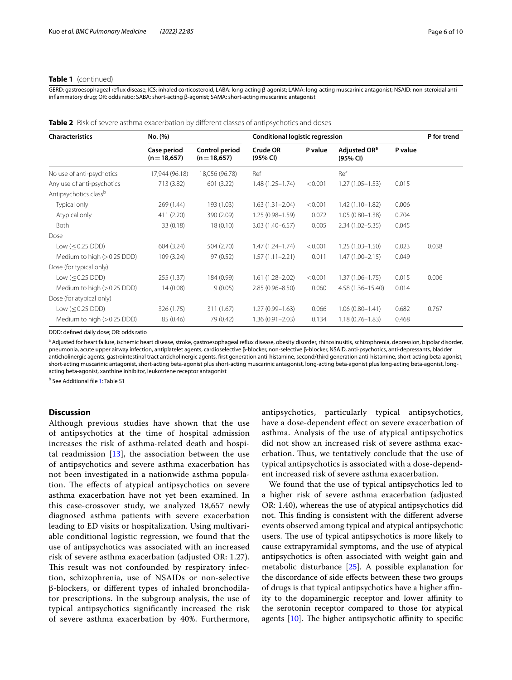#### **Table 1** (continued)

GERD: gastroesophageal refux disease; ICS: inhaled corticosteroid, LABA: long-acting β-agonist; LAMA: long-acting muscarinic antagonist; NSAID: non-steroidal antiinfammatory drug; OR: odds ratio; SABA: short-acting β-agonist; SAMA: short-acting muscarinic antagonist

<span id="page-5-0"></span>

| <b>Characteristics</b>      | No. (%)                     |                                       | <b>Conditional logistic regression</b> |         |                                      |         | P for trend |  |
|-----------------------------|-----------------------------|---------------------------------------|----------------------------------------|---------|--------------------------------------|---------|-------------|--|
|                             | Case period<br>$(n=18,657)$ | <b>Control period</b><br>$(n=18,657)$ | Crude OR<br>(95% CI)                   | P value | Adjusted OR <sup>a</sup><br>(95% CI) | P value |             |  |
| No use of anti-psychotics   | 17,944 (96.18)              | 18,056 (96.78)                        | Ref                                    |         | Ref                                  |         |             |  |
| Any use of anti-psychotics  | 713 (3.82)                  | 601 (3.22)                            | $1.48(1.25 - 1.74)$                    | < 0.001 | $1.27(1.05 - 1.53)$                  | 0.015   |             |  |
| Antipsychotics classb       |                             |                                       |                                        |         |                                      |         |             |  |
| Typical only                | 269 (1.44)                  | 193 (1.03)                            | $1.63(1.31 - 2.04)$                    | < 0.001 | $1.42(1.10 - 1.82)$                  | 0.006   |             |  |
| Atypical only               | 411 (2.20)                  | 390 (2.09)                            | $1.25(0.98 - 1.59)$                    | 0.072   | $1.05(0.80 - 1.38)$                  | 0.704   |             |  |
| Both                        | 33 (0.18)                   | 18(0.10)                              | $3.03(1.40 - 6.57)$                    | 0.005   | $2.34(1.02 - 5.35)$                  | 0.045   |             |  |
| Dose                        |                             |                                       |                                        |         |                                      |         |             |  |
| Low $(\leq 0.25$ DDD)       | 604 (3.24)                  | 504 (2.70)                            | $1.47(1.24 - 1.74)$                    | < 0.001 | $1.25(1.03 - 1.50)$                  | 0.023   | 0.038       |  |
| Medium to high (> 0.25 DDD) | 109 (3.24)                  | 97 (0.52)                             | $1.57(1.11 - 2.21)$                    | 0.011   | $1.47(1.00 - 2.15)$                  | 0.049   |             |  |
| Dose (for typical only)     |                             |                                       |                                        |         |                                      |         |             |  |
| Low $(< 0.25$ DDD)          | 255 (1.37)                  | 184 (0.99)                            | $1.61(1.28 - 2.02)$                    | < 0.001 | $1.37(1.06 - 1.75)$                  | 0.015   | 0.006       |  |
| Medium to high (> 0.25 DDD) | 14(0.08)                    | 9(0.05)                               | $2.85(0.96 - 8.50)$                    | 0.060   | 4.58 (1.36-15.40)                    | 0.014   |             |  |
| Dose (for atypical only)    |                             |                                       |                                        |         |                                      |         |             |  |
| Low $(0.25 DDD)$            | 326 (1.75)                  | 311 (1.67)                            | $1.27(0.99 - 1.63)$                    | 0.066   | $1.06(0.80 - 1.41)$                  | 0.682   | 0.767       |  |
| Medium to high (> 0.25 DDD) | 85 (0.46)                   | 79 (0.42)                             | $1.36(0.91 - 2.03)$                    | 0.134   | $1.18(0.76 - 1.83)$                  | 0.468   |             |  |

DDD: defned daily dose; OR: odds ratio

a<br>Adjusted for heart failure, ischemic heart disease, stroke, gastroesophageal reflux disease, obesity disorder, rhinosinusitis, schizophrenia, depression, bipolar disorder, pneumonia, acute upper airway infection, antiplatelet agents, cardioselective β-blocker, non-selective β-blocker, NSAID, anti-psychotics, anti-depressants, bladder anticholinergic agents, gastrointestinal tract anticholinergic agents, frst generation anti-histamine, second/third generation anti-histamine, short-acting beta-agonist, short-acting muscarinic antagonist, short-acting beta-agonist plus short-acting muscarinic antagonist, long-acting beta-agonist plus long-acting beta-agonist, longacting beta-agonist, xanthine inhibitor, leukotriene receptor antagonist

<sup>b</sup> See Additional file [1:](#page-8-16) Table S1

### **Discussion**

Although previous studies have shown that the use of antipsychotics at the time of hospital admission increases the risk of asthma-related death and hospital readmission  $[13]$ , the association between the use of antipsychotics and severe asthma exacerbation has not been investigated in a nationwide asthma population. The effects of atypical antipsychotics on severe asthma exacerbation have not yet been examined. In this case-crossover study, we analyzed 18,657 newly diagnosed asthma patients with severe exacerbation leading to ED visits or hospitalization. Using multivariable conditional logistic regression, we found that the use of antipsychotics was associated with an increased risk of severe asthma exacerbation (adjusted OR: 1.27). This result was not confounded by respiratory infection, schizophrenia, use of NSAIDs or non-selective β-blockers, or diferent types of inhaled bronchodilator prescriptions. In the subgroup analysis, the use of typical antipsychotics signifcantly increased the risk of severe asthma exacerbation by 40%. Furthermore, antipsychotics, particularly typical antipsychotics, have a dose-dependent efect on severe exacerbation of asthma. Analysis of the use of atypical antipsychotics did not show an increased risk of severe asthma exacerbation. Thus, we tentatively conclude that the use of typical antipsychotics is associated with a dose-dependent increased risk of severe asthma exacerbation.

We found that the use of typical antipsychotics led to a higher risk of severe asthma exacerbation (adjusted OR: 1.40), whereas the use of atypical antipsychotics did not. This finding is consistent with the different adverse events observed among typical and atypical antipsychotic users. The use of typical antipsychotics is more likely to cause extrapyramidal symptoms, and the use of atypical antipsychotics is often associated with weight gain and metabolic disturbance [[25](#page-9-5)]. A possible explanation for the discordance of side efects between these two groups of drugs is that typical antipsychotics have a higher afnity to the dopaminergic receptor and lower affinity to the serotonin receptor compared to those for atypical agents  $[10]$  $[10]$ . The higher antipsychotic affinity to specific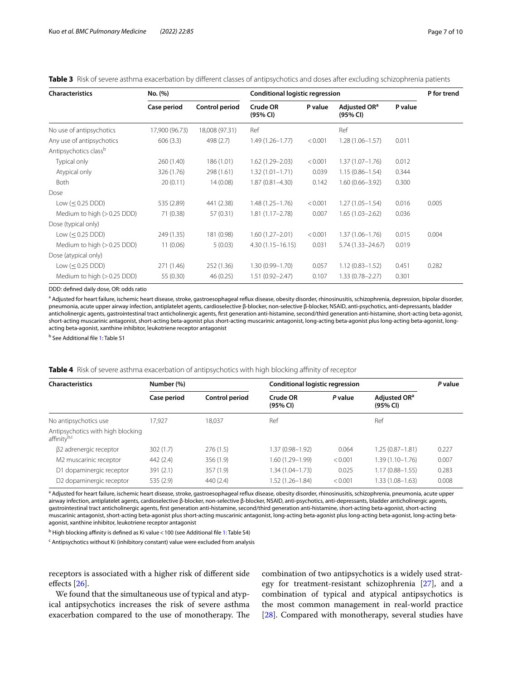| <b>Characteristics</b>      | No. (%)        |                | <b>Conditional logistic regression</b> |         |                                      |         | P for trend |
|-----------------------------|----------------|----------------|----------------------------------------|---------|--------------------------------------|---------|-------------|
|                             | Case period    | Control period | Crude OR<br>(95% CI)                   | P value | Adjusted OR <sup>a</sup><br>(95% CI) | P value |             |
| No use of antipsychotics    | 17,900 (96.73) | 18,008 (97.31) | Ref                                    |         | Ref                                  |         |             |
| Any use of antipsychotics   | 606(3.3)       | 498 (2.7)      | $1.49(1.26 - 1.77)$                    | < 0.001 | $1.28(1.06 - 1.57)$                  | 0.011   |             |
| Antipsychotics classb       |                |                |                                        |         |                                      |         |             |
| Typical only                | 260 (1.40)     | 186 (1.01)     | $1.62(1.29 - 2.03)$                    | < 0.001 | $1.37(1.07 - 1.76)$                  | 0.012   |             |
| Atypical only               | 326 (1.76)     | 298 (1.61)     | $1.32(1.01 - 1.71)$                    | 0.039   | $1.15(0.86 - 1.54)$                  | 0.344   |             |
| Both                        | 20(0.11)       | 14(0.08)       | $1.87(0.81 - 4.30)$                    | 0.142   | $1.60(0.66 - 3.92)$                  | 0.300   |             |
| Dose                        |                |                |                                        |         |                                      |         |             |
| Low $(\leq 0.25$ DDD)       | 535 (2.89)     | 441 (2.38)     | $1.48(1.25 - 1.76)$                    | < 0.001 | $1.27(1.05 - 1.54)$                  | 0.016   | 0.005       |
| Medium to high (> 0.25 DDD) | 71 (0.38)      | 57 (0.31)      | $1.81(1.17 - 2.78)$                    | 0.007   | $1.65(1.03 - 2.62)$                  | 0.036   |             |
| Dose (typical only)         |                |                |                                        |         |                                      |         |             |
| Low $(\leq 0.25$ DDD)       | 249 (1.35)     | 181 (0.98)     | $1.60(1.27 - 2.01)$                    | < 0.001 | $1.37(1.06 - 1.76)$                  | 0.015   | 0.004       |
| Medium to high (> 0.25 DDD) | 11(0.06)       | 5(0.03)        | $4.30(1.15 - 16.15)$                   | 0.031   | $5.74(1.33 - 24.67)$                 | 0.019   |             |
| Dose (atypical only)        |                |                |                                        |         |                                      |         |             |
| Low $(< 0.25$ DDD)          | 271 (1.46)     | 252 (1.36)     | $1.30(0.99 - 1.70)$                    | 0.057   | $1.12(0.83 - 1.52)$                  | 0.451   | 0.282       |
| Medium to high (> 0.25 DDD) | 55 (0.30)      | 46 (0.25)      | $1.51(0.92 - 2.47)$                    | 0.107   | $1.33(0.78 - 2.27)$                  | 0.301   |             |

<span id="page-6-0"></span>**Table 3** Risk of severe asthma exacerbation by diferent classes of antipsychotics and doses after excluding schizophrenia patients

DDD: defned daily dose, OR: odds ratio

<sup>a</sup> Adjusted for heart failure, ischemic heart disease, stroke, gastroesophageal reflux disease, obesity disorder, rhinosinusitis, schizophrenia, depression, bipolar disorder, pneumonia, acute upper airway infection, antiplatelet agents, cardioselective β-blocker, non-selective β-blocker, NSAID, anti-psychotics, anti-depressants, bladder anticholinergic agents, gastrointestinal tract anticholinergic agents, frst generation anti-histamine, second/third generation anti-histamine, short-acting beta-agonist, short-acting muscarinic antagonist, short-acting beta-agonist plus short-acting muscarinic antagonist, long-acting beta-agonist plus long-acting beta-agonist, longacting beta-agonist, xanthine inhibitor, leukotriene receptor antagonist

<sup>b</sup> See Additional file [1:](#page-8-16) Table S1

#### <span id="page-6-1"></span>**Table 4** Risk of severe asthma exacerbation of antipsychotics with high blocking affinity of receptor

| <b>Characteristics</b>                           | Number (%)  |                | Conditional logistic regression | P value |                                      |       |  |
|--------------------------------------------------|-------------|----------------|---------------------------------|---------|--------------------------------------|-------|--|
|                                                  | Case period | Control period | Crude OR<br>(95% CI)            | P value | Adjusted OR <sup>a</sup><br>(95% CI) |       |  |
| No antipsychotics use                            | 17.927      | 18.037         | Ref                             |         | Ref                                  |       |  |
| Antipsychotics with high blocking<br>affinityb,c |             |                |                                 |         |                                      |       |  |
| $\beta$ 2 adrenergic receptor                    | 302(1.7)    | 276(1.5)       | 1.37 (0.98-1.92)                | 0.064   | $1.25(0.87 - 1.81)$                  | 0.227 |  |
| M2 muscarinic receptor                           | 442 (2.4)   | 356 (1.9)      | 1.60 (1.29-1.99)                | < 0.001 | $1.39(1.10 - 1.76)$                  | 0.007 |  |
| D1 dopaminergic receptor                         | 391(2.1)    | 357 (1.9)      | $1.34(1.04 - 1.73)$             | 0.025   | $1.17(0.88 - 1.55)$                  | 0.283 |  |
| D <sub>2</sub> dopaminergic receptor             | 535 (2.9)   | 440(2.4)       | $1.52(1.26 - 1.84)$             | < 0.001 | $1.33(1.08 - 1.63)$                  | 0.008 |  |

<sup>a</sup> Adjusted for heart failure, ischemic heart disease, stroke, gastroesophageal reflux disease, obesity disorder, rhinosinusitis, schizophrenia, pneumonia, acute upper airway infection, antiplatelet agents, cardioselective β-blocker, non-selective β-blocker, NSAID, anti-psychotics, anti-depressants, bladder anticholinergic agents, gastrointestinal tract anticholinergic agents, frst generation anti-histamine, second/third generation anti-histamine, short-acting beta-agonist, short-acting muscarinic antagonist, short-acting beta-agonist plus short-acting muscarinic antagonist, long-acting beta-agonist plus long-acting beta-agonist, long-acting betaagonist, xanthine inhibitor, leukotriene receptor antagonist

<sup>b</sup> High blocking affinity is defined as Ki value < 100 (see Additional file [1:](#page-8-16) Table S4)

<sup>c</sup> Antipsychotics without Ki (inhibitory constant) value were excluded from analysis

receptors is associated with a higher risk of diferent side efects [[26](#page-9-6)].

We found that the simultaneous use of typical and atypical antipsychotics increases the risk of severe asthma exacerbation compared to the use of monotherapy. The combination of two antipsychotics is a widely used strategy for treatment-resistant schizophrenia [\[27](#page-9-7)], and a combination of typical and atypical antipsychotics is the most common management in real-world practice [[28\]](#page-9-8). Compared with monotherapy, several studies have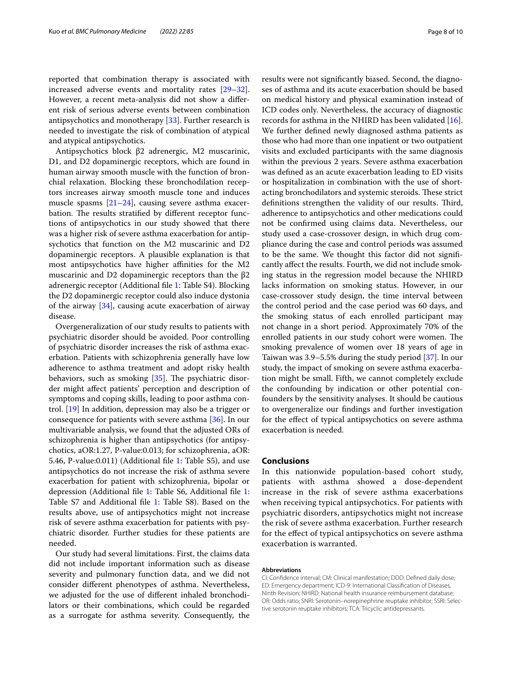reported that combination therapy is associated with increased adverse events and mortality rates [[29](#page-9-9)[–32](#page-9-10)]. However, a recent meta-analysis did not show a diferent risk of serious adverse events between combination antipsychotics and monotherapy [[33\]](#page-9-11). Further research is needed to investigate the risk of combination of atypical and atypical antipsychotics.

Antipsychotics block β2 adrenergic, M2 muscarinic, D1, and D2 dopaminergic receptors, which are found in human airway smooth muscle with the function of bronchial relaxation. Blocking these bronchodilation receptors increases airway smooth muscle tone and induces muscle spasms  $[21-24]$  $[21-24]$  $[21-24]$ , causing severe asthma exacerbation. The results stratified by different receptor functions of antipsychotics in our study showed that there was a higher risk of severe asthma exacerbation for antipsychotics that function on the M2 muscarinic and D2 dopaminergic receptors. A plausible explanation is that most antipsychotics have higher affinities for the M2 muscarinic and D2 dopaminergic receptors than the  $β2$ adrenergic receptor (Additional fle [1:](#page-8-16) Table S4). Blocking the D2 dopaminergic receptor could also induce dystonia of the airway [\[34](#page-9-12)], causing acute exacerbation of airway disease.

Overgeneralization of our study results to patients with psychiatric disorder should be avoided. Poor controlling of psychiatric disorder increases the risk of asthma exacerbation. Patients with schizophrenia generally have low adherence to asthma treatment and adopt risky health behaviors, such as smoking  $[35]$  $[35]$ . The psychiatric disorder might afect patients' perception and description of symptoms and coping skills, leading to poor asthma control. [[19](#page-9-1)] In addition, depression may also be a trigger or consequence for patients with severe asthma [[36\]](#page-9-14). In our multivariable analysis, we found that the adjusted ORs of schizophrenia is higher than antipsychotics (for antipsychotics, aOR:1.27, P-value:0.013; for schizophrenia, aOR: 5.46, P-value:0.011) (Additional fle [1:](#page-8-16) Table S5), and use antipsychotics do not increase the risk of asthma severe exacerbation for patient with schizophrenia, bipolar or depression (Additional fle [1:](#page-8-16) Table S6, Additional fle [1](#page-8-16): Table S7 and Additional fle [1:](#page-8-16) Table S8). Based on the results above, use of antipsychotics might not increase risk of severe asthma exacerbation for patients with psychiatric disorder. Further studies for these patients are needed.

Our study had several limitations. First, the claims data did not include important information such as disease severity and pulmonary function data, and we did not consider diferent phenotypes of asthma. Nevertheless, we adjusted for the use of diferent inhaled bronchodilators or their combinations, which could be regarded as a surrogate for asthma severity. Consequently, the results were not signifcantly biased. Second, the diagnoses of asthma and its acute exacerbation should be based on medical history and physical examination instead of ICD codes only. Nevertheless, the accuracy of diagnostic records for asthma in the NHIRD has been validated [\[16](#page-8-15)]. We further defned newly diagnosed asthma patients as those who had more than one inpatient or two outpatient visits and excluded participants with the same diagnosis within the previous 2 years. Severe asthma exacerbation was defned as an acute exacerbation leading to ED visits or hospitalization in combination with the use of shortacting bronchodilators and systemic steroids. These strict definitions strengthen the validity of our results. Third, adherence to antipsychotics and other medications could not be confrmed using claims data. Nevertheless, our study used a case-crossover design, in which drug compliance during the case and control periods was assumed to be the same. We thought this factor did not signifcantly afect the results. Fourth, we did not include smoking status in the regression model because the NHIRD lacks information on smoking status. However, in our case-crossover study design, the time interval between the control period and the case period was 60 days, and the smoking status of each enrolled participant may not change in a short period. Approximately 70% of the enrolled patients in our study cohort were women. The smoking prevalence of women over 18 years of age in Taiwan was 3.9–5.5% during the study period [[37](#page-9-15)]. In our study, the impact of smoking on severe asthma exacerbation might be small. Fifth, we cannot completely exclude the confounding by indication or other potential confounders by the sensitivity analyses. It should be cautious to overgeneralize our fndings and further investigation for the efect of typical antipsychotics on severe asthma exacerbation is needed.

#### **Conclusions**

In this nationwide population-based cohort study, patients with asthma showed a dose-dependent increase in the risk of severe asthma exacerbations when receiving typical antipsychotics. For patients with psychiatric disorders, antipsychotics might not increase the risk of severe asthma exacerbation. Further research for the efect of typical antipsychotics on severe asthma exacerbation is warranted.

#### **Abbreviations**

CI: Confdence interval; CM: Clinical manifestation; DDD: Defned daily dose; ED: Emergency department; ICD-9: International Classifcation of Diseases, Ninth Revision; NHIRD: National health insurance reimbursement database; OR: Odds ratio; SNRI: Serotonin–norepinephrine reuptake inhibitor; SSRI: Selec‑ tive serotonin reuptake inhibitors; TCA: Tricyclic antidepressants.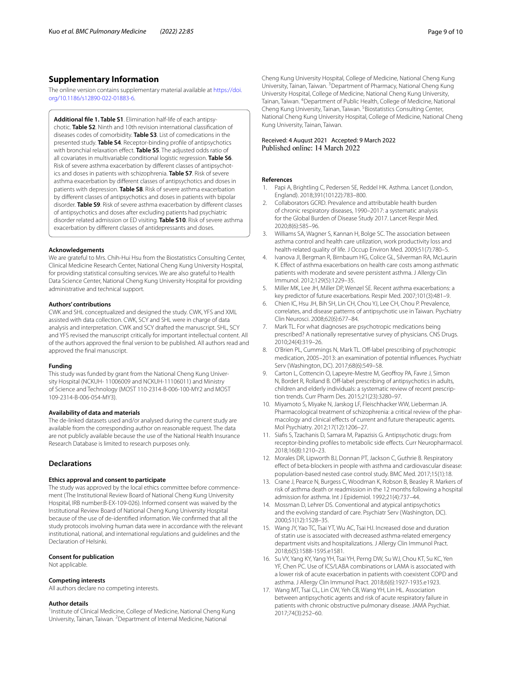## **Supplementary Information**

The online version contains supplementary material available at [https://doi.](https://doi.org/10.1186/s12890-022-01883-6) [org/10.1186/s12890-022-01883-6](https://doi.org/10.1186/s12890-022-01883-6).

<span id="page-8-16"></span>**Additional fle 1. Table S1**. Elimination half-life of each antipsy‑ chotic. **Table S2**. Ninth and 10th revision international classifcation of diseases codes of comorbidity. **Table S3**. List of comedications in the presented study. **Table S4**. Receptor-binding profle of antipsychotics with bronchial relaxation efect. **Table S5**. The adjusted odds ratio of all covariates in multivariable conditional logistic regression. **Table S6**. Risk of severe asthma exacerbation by different classes of antipsychotics and doses in patients with schizophrenia. **Table S7**. Risk of severe asthma exacerbation by diferent classes of antipsychotics and doses in patients with depression. **Table S8**. Risk of severe asthma exacerbation by diferent classes of antipsychotics and doses in patients with bipolar disorder. **Table S9**. Risk of severe asthma exacerbation by diferent classes of antipsychotics and doses after excluding patients had psychiatric disorder related admission or ED visiting. **Table S10**. Risk of severe asthma exacerbation by diferent classes of antidepressants and doses.

#### **Acknowledgements**

We are grateful to Mrs. Chih-Hui Hsu from the Biostatistics Consulting Center, Clinical Medicine Research Center, National Cheng Kung University Hospital, for providing statistical consulting services. We are also grateful to Health Data Science Center, National Cheng Kung University Hospital for providing administrative and technical support.

#### **Authors' contributions**

CWK and SHL conceptualized and designed the study. CWK, YFS and XML assisted with data collection. CWK, SCY and SHL were in charge of data analysis and interpretation. CWK and SCY drafted the manuscript. SHL, SCY and YFS revised the manuscript critically for important intellectual content. All of the authors approved the fnal version to be published. All authors read and approved the fnal manuscript.

#### **Funding**

This study was funded by grant from the National Cheng Kung University Hospital (NCKUH- 11006009 and NCKUH-11106011) and Ministry of Science and Technology (MOST 110-2314-B-006-100-MY2 and MOST 109-2314-B-006-054-MY3).

#### **Availability of data and materials**

The de-linked datasets used and/or analysed during the current study are available from the corresponding author on reasonable request. The data are not publicly available because the use of the National Health Insurance Research Database is limited to research purposes only.

#### **Declarations**

#### **Ethics approval and consent to participate**

The study was approved by the local ethics committee before commencement (The Institutional Review Board of National Cheng Kung University Hospital, IRB number:B-EX-109-026). Informed consent was waived by the Institutional Review Board of National Cheng Kung University Hospital because of the use of de-identifed information. We confrmed that all the study protocols involving human data were in accordance with the relevant institutional, national, and international regulations and guidelines and the Declaration of Helsinki.

#### **Consent for publication**

Not applicable.

#### **Competing interests**

All authors declare no competing interests.

#### **Author details**

<sup>1</sup> Institute of Clinical Medicine, College of Medicine, National Cheng Kung University, Tainan, Taiwan. <sup>2</sup> Department of Internal Medicine, National

Cheng Kung University, Tainan, Taiwan.<sup>5</sup> Biostatistics Consulting Center, National Cheng Kung University Hospital, College of Medicine, National Cheng Kung University, Tainan, Taiwan.

# Received: 4 August 2021 Accepted: 9 March 2022

#### **References**

- <span id="page-8-0"></span>Papi A, Brightling C, Pedersen SE, Reddel HK. Asthma. Lancet (London, England). 2018;391(10122):783–800.
- <span id="page-8-1"></span>2. Collaborators GCRD. Prevalence and attributable health burden of chronic respiratory diseases, 1990–2017: a systematic analysis for the Global Burden of Disease Study 2017. Lancet Respir Med. 2020;8(6):585–96.
- <span id="page-8-2"></span>3. Williams SA, Wagner S, Kannan H, Bolge SC. The association between asthma control and health care utilization, work productivity loss and health-related quality of life. J Occup Environ Med. 2009;51(7):780–5.
- <span id="page-8-3"></span>4. Ivanova JI, Bergman R, Birnbaum HG, Colice GL, Silverman RA, McLaurin K. Efect of asthma exacerbations on health care costs among asthmatic patients with moderate and severe persistent asthma. J Allergy Clin Immunol. 2012;129(5):1229–35.
- <span id="page-8-4"></span>5. Miller MK, Lee JH, Miller DP, Wenzel SE. Recent asthma exacerbations: a key predictor of future exacerbations. Respir Med. 2007;101(3):481–9.
- <span id="page-8-5"></span>6. Chien IC, Hsu JH, Bih SH, Lin CH, Chou YJ, Lee CH, Chou P. Prevalence, correlates, and disease patterns of antipsychotic use in Taiwan. Psychiatry Clin Neurosci. 2008;62(6):677–84.
- <span id="page-8-6"></span>7. Mark TL. For what diagnoses are psychotropic medications being prescribed? A nationally representative survey of physicians. CNS Drugs. 2010;24(4):319–26.
- <span id="page-8-7"></span>8. O'Brien PL, Cummings N, Mark TL. Off-label prescribing of psychotropic medication, 2005–2013: an examination of potential infuences. Psychiatr Serv (Washington, DC). 2017;68(6):549–58.
- <span id="page-8-8"></span>9. Carton L, Cottencin O, Lapeyre-Mestre M, Geofroy PA, Favre J, Simon N, Bordet R, Rolland B. Off-label prescribing of antipsychotics in adults, children and elderly individuals: a systematic review of recent prescription trends. Curr Pharm Des. 2015;21(23):3280–97.
- <span id="page-8-9"></span>10. Miyamoto S, Miyake N, Jarskog LF, Fleischhacker WW, Lieberman JA. Pharmacological treatment of schizophrenia: a critical review of the pharmacology and clinical efects of current and future therapeutic agents. Mol Psychiatry. 2012;17(12):1206–27.
- <span id="page-8-10"></span>11. Siafs S, Tzachanis D, Samara M, Papazisis G. Antipsychotic drugs: from receptor-binding profiles to metabolic side effects. Curr Neuropharmacol. 2018;16(8):1210–23.
- <span id="page-8-11"></span>12. Morales DR, Lipworth BJ, Donnan PT, Jackson C, Guthrie B. Respiratory efect of beta-blockers in people with asthma and cardiovascular disease: population-based nested case control study. BMC Med. 2017;15(1):18.
- <span id="page-8-12"></span>13. Crane J, Pearce N, Burgess C, Woodman K, Robson B, Beasley R. Markers of risk of asthma death or readmission in the 12 months following a hospital admission for asthma. Int J Epidemiol. 1992;21(4):737–44.
- <span id="page-8-13"></span>14. Mossman D, Lehrer DS. Conventional and atypical antipsychotics and the evolving standard of care. Psychiatr Serv (Washington, DC). 2000;51(12):1528–35.
- <span id="page-8-14"></span>15. Wang JY, Yao TC, Tsai YT, Wu AC, Tsai HJ. Increased dose and duration of statin use is associated with decreased asthma-related emergency department visits and hospitalizations. J Allergy Clin Immunol Pract. 2018;6(5):1588-1595.e1581.
- <span id="page-8-15"></span>16. Su VY, Yang KY, Yang YH, Tsai YH, Perng DW, Su WJ, Chou KT, Su KC, Yen YF, Chen PC. Use of ICS/LABA combinations or LAMA is associated with a lower risk of acute exacerbation in patients with coexistent COPD and asthma. J Allergy Clin Immunol Pract. 2018;6(6):1927-1935.e1923.
- <span id="page-8-17"></span>17. Wang MT, Tsai CL, Lin CW, Yeh CB, Wang YH, Lin HL. Association between antipsychotic agents and risk of acute respiratory failure in patients with chronic obstructive pulmonary disease. JAMA Psychiat. 2017;74(3):252–60.